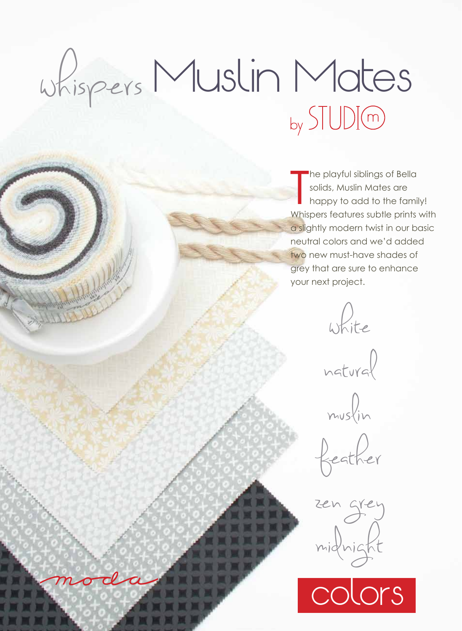## whispers Muslin Mates

The playful siblings of Bella<br>solids, Muslin Mates are<br>happy to add to the family!<br>Whispers features subtle prints with he playful siblings of Bella solids, Muslin Mates are happy to add to the family! a slightly modern twist in our basic neutral colors and we'd added two new must-have shades of grey that are sure to enhance your next project.

white

natural

muslin

feather

zen grey midnight

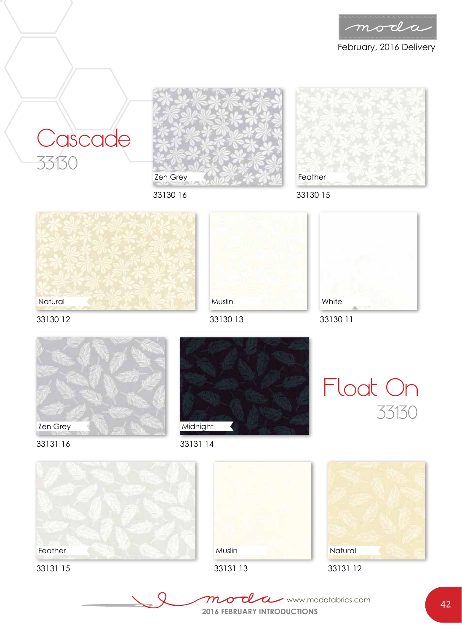

February, 2016 Delivery





33130 16









33130 12



Midnight



33131 16





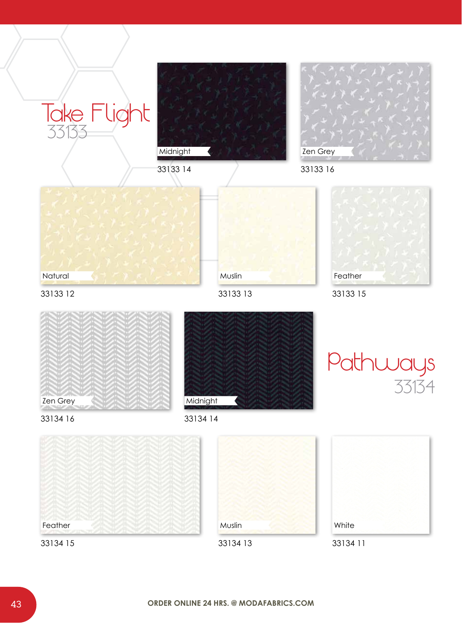













33133 15







33134 16

33133









33134 11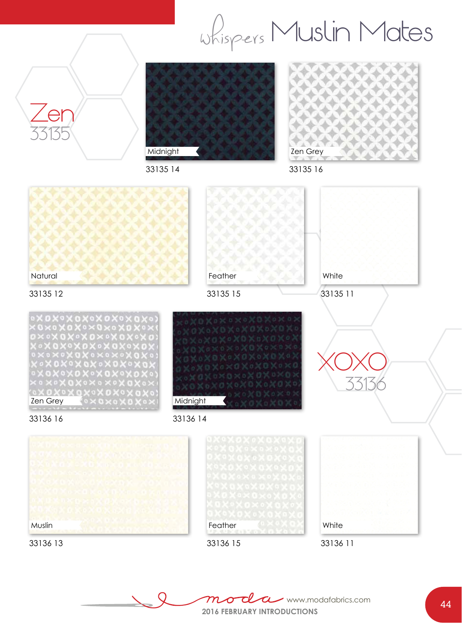whispers Muslin Mates



Th  $\overline{m}$  $\alpha$ www.modafabrics.com $\sigma$ **2016 FEBRUARY INTRODUCTIONS**